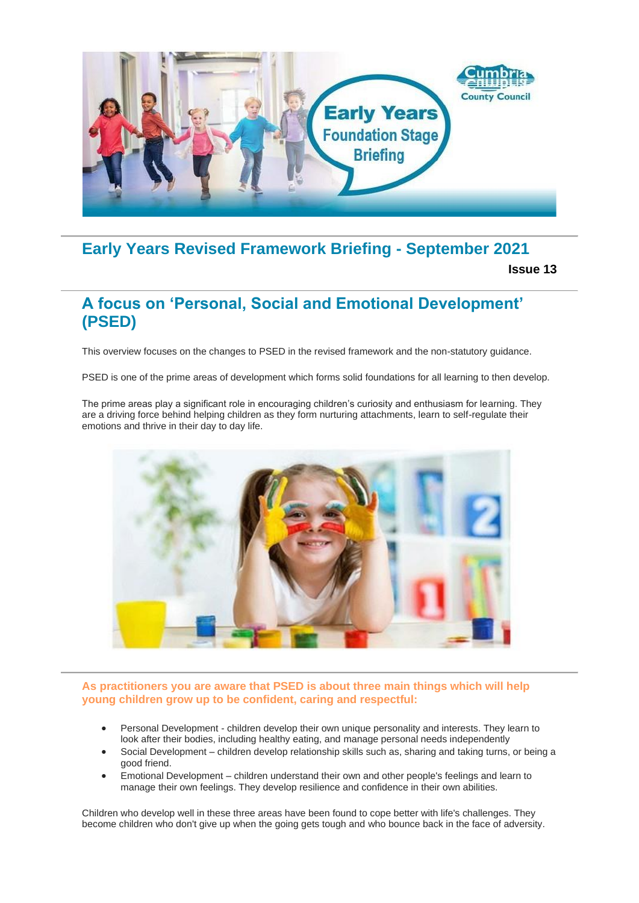

# **Early Years Revised Framework Briefing - September 2021**

**Issue 13**

## **A focus on 'Personal, Social and Emotional Development' (PSED)**

This overview focuses on the changes to PSED in the revised framework and the non-statutory guidance.

PSED is one of the prime areas of development which forms solid foundations for all learning to then develop.

The prime areas play a significant role in encouraging children's curiosity and enthusiasm for learning. They are a driving force behind helping children as they form nurturing attachments, learn to self-regulate their emotions and thrive in their day to day life.



#### **As practitioners you are aware that PSED is about three main things which will help young children grow up to be confident, caring and respectful:**

- Personal Development children develop their own unique personality and interests. They learn to look after their bodies, including healthy eating, and manage personal needs independently
- Social Development children develop relationship skills such as, sharing and taking turns, or being a good friend.
- Emotional Development children understand their own and other people's feelings and learn to manage their own feelings. They develop resilience and confidence in their own abilities.

Children who develop well in these three areas have been found to cope better with life's challenges. They become children who don't give up when the going gets tough and who bounce back in the face of adversity.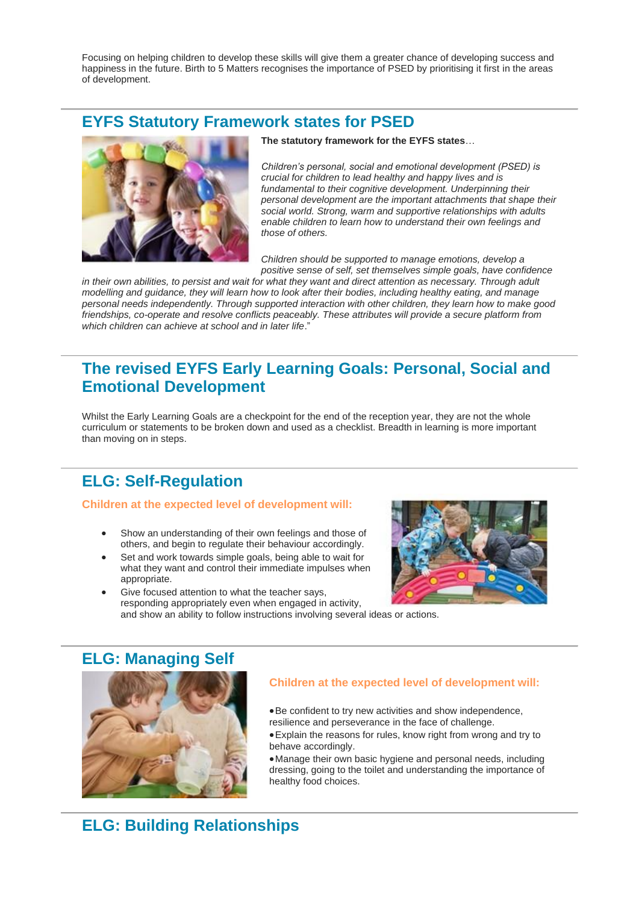Focusing on helping children to develop these skills will give them a greater chance of developing success and happiness in the future. Birth to 5 Matters recognises the importance of PSED by prioritising it first in the areas of development.

### **EYFS Statutory Framework states for PSED**



**The statutory framework for the EYFS states**…

*Children's personal, social and emotional development (PSED) is crucial for children to lead healthy and happy lives and is fundamental to their cognitive development. Underpinning their personal development are the important attachments that shape their social world. Strong, warm and supportive relationships with adults enable children to learn how to understand their own feelings and those of others.* 

*Children should be supported to manage emotions, develop a positive sense of self, set themselves simple goals, have confidence* 

*in their own abilities, to persist and wait for what they want and direct attention as necessary. Through adult modelling and guidance, they will learn how to look after their bodies, including healthy eating, and manage personal needs independently. Through supported interaction with other children, they learn how to make good friendships, co-operate and resolve conflicts peaceably. These attributes will provide a secure platform from which children can achieve at school and in later life*."

## **The revised EYFS Early Learning Goals: Personal, Social and Emotional Development**

Whilst the Early Learning Goals are a checkpoint for the end of the reception year, they are not the whole curriculum or statements to be broken down and used as a checklist. Breadth in learning is more important than moving on in steps.

# **ELG: Self-Regulation**

#### **Children at the expected level of development will:**

- Show an understanding of their own feelings and those of others, and begin to regulate their behaviour accordingly.
- Set and work towards simple goals, being able to wait for what they want and control their immediate impulses when appropriate.



Give focused attention to what the teacher says, responding appropriately even when engaged in activity, and show an ability to follow instructions involving several ideas or actions.

### **ELG: Managing Self**



#### **Children at the expected level of development will:**

- •Be confident to try new activities and show independence, resilience and perseverance in the face of challenge.
- •Explain the reasons for rules, know right from wrong and try to behave accordingly.
- •Manage their own basic hygiene and personal needs, including dressing, going to the toilet and understanding the importance of healthy food choices.

# **ELG: Building Relationships**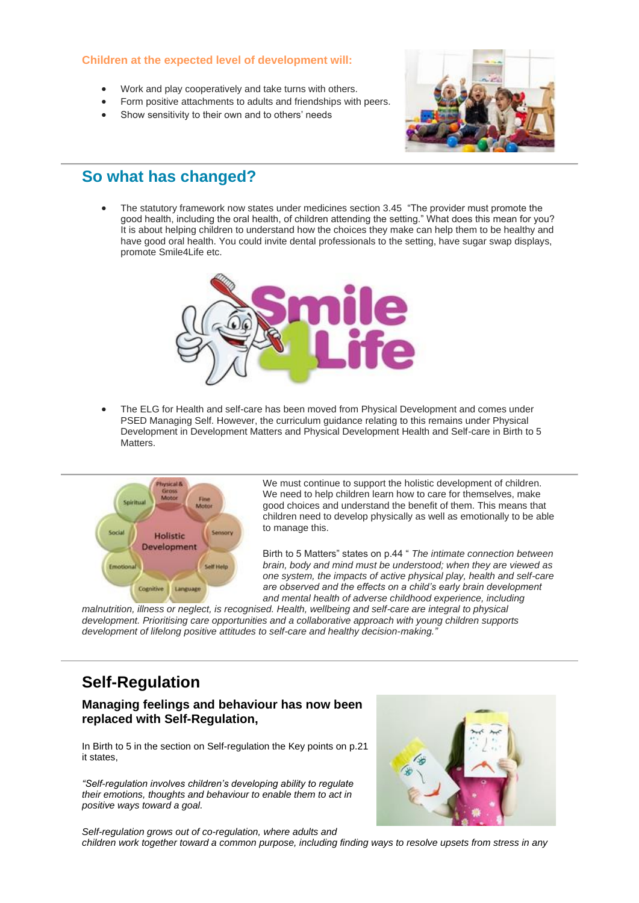#### **Children at the expected level of development will:**

- Work and play cooperatively and take turns with others.
- Form positive attachments to adults and friendships with peers.
- Show sensitivity to their own and to others' needs



### **So what has changed?**

• The statutory framework now states under medicines section 3.45 "The provider must promote the good health, including the oral health, of children attending the setting." What does this mean for you? It is about helping children to understand how the choices they make can help them to be healthy and have good oral health. You could invite dental professionals to the setting, have sugar swap displays, promote Smile4Life etc.



• The ELG for Health and self-care has been moved from Physical Development and comes under PSED Managing Self. However, the curriculum guidance relating to this remains under Physical Development in Development Matters and Physical Development Health and Self-care in Birth to 5 Matters.



We must continue to support the holistic development of children. We need to help children learn how to care for themselves, make good choices and understand the benefit of them. This means that children need to develop physically as well as emotionally to be able to manage this.

Birth to 5 Matters" states on p.44 " *The intimate connection between brain, body and mind must be understood; when they are viewed as one system, the impacts of active physical play, health and self-care are observed and the effects on a child's early brain development and mental health of adverse childhood experience, including* 

*malnutrition, illness or neglect, is recognised. Health, wellbeing and self-care are integral to physical development. Prioritising care opportunities and a collaborative approach with young children supports development of lifelong positive attitudes to self-care and healthy decision-making."*

# **Self-Regulation**

#### **Managing feelings and behaviour has now been replaced with Self-Regulation,**

In Birth to 5 in the section on Self-regulation the Key points on p.21 it states,

*"Self-regulation involves children's developing ability to regulate their emotions, thoughts and behaviour to enable them to act in positive ways toward a goal.*



*Self-regulation grows out of co-regulation, where adults and children work together toward a common purpose, including finding ways to resolve upsets from stress in any*